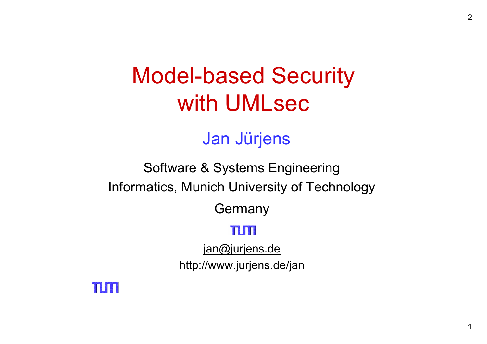# Model-based Security with UMLsec

#### Jan Jürjens

#### Software & Systems Engineering Informatics, Munich University of Technology

Germany

#### ות וח

jan@jurjens.de

http://www.jurjens.de/jan

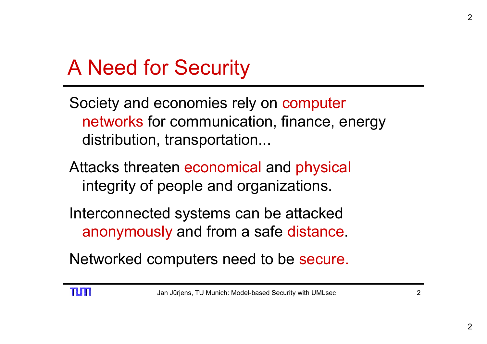## A Need for Security

Society and economies rely on computer networks for communication, finance, energy distribution, transportation...

- Attacks threaten economical and physical integrity of people and organizations.
- Interconnected systems can be attacked anonymously and from a safe distance.

Networked computers need to be secure.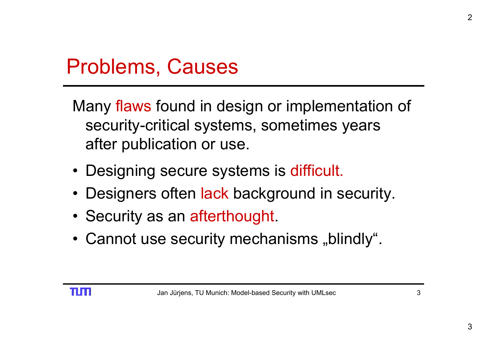### Problems, Causes

Many flaws found in design or implementation of security-critical systems, sometimes years after publication or use.

- Designing secure systems is difficult.
- Designers often lack background in security.
- Security as an afterthought.
- $\bullet\,$  Cannot use security mechanisms "blindly".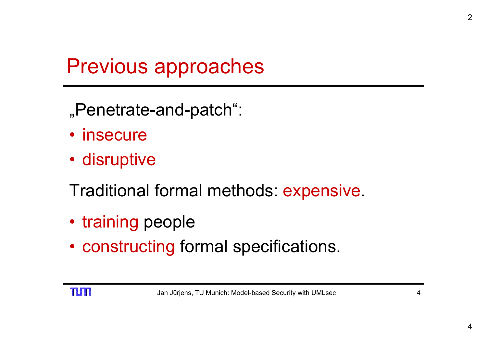### Previous approaches

- "Penetrate-and-patch":
- insecure
- disruptive
- Traditional formal methods: expensive.
- training people
- constructing formal specifications.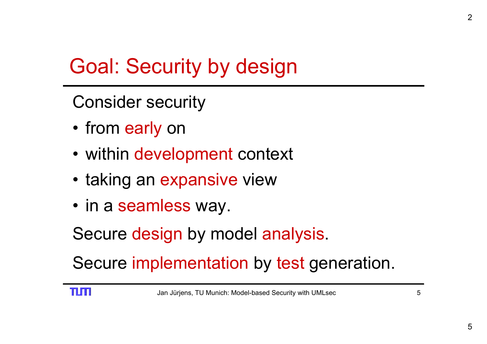## Goal: Security by design

Consider security

- from early on
- within development context
- taking an expansive view
- in a seamless way.

Secure design by model analysis.

Secure implementation by test generation.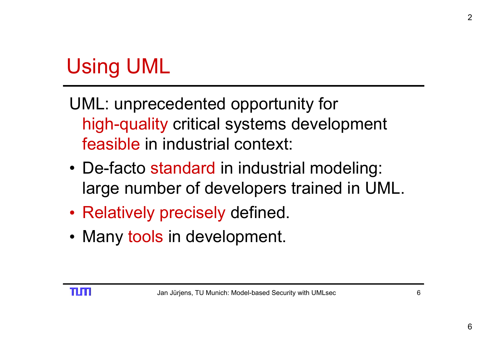# Using UML

- UML: unprecedented opportunity for high-quality critical systems development feasible in industrial context:
- De-facto standard in industrial modeling: large number of developers trained in UML.
- Relatively precisely defined.
- Many tools in development.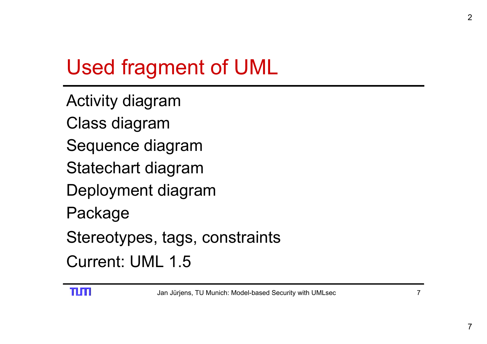# Used fragment of UML

- Activity diagram
- Class diagram
- Sequence diagram
- Statechart diagram
- Deployment diagram
- Package
- Stereotypes, tags, constraints
- Current: UML 1.5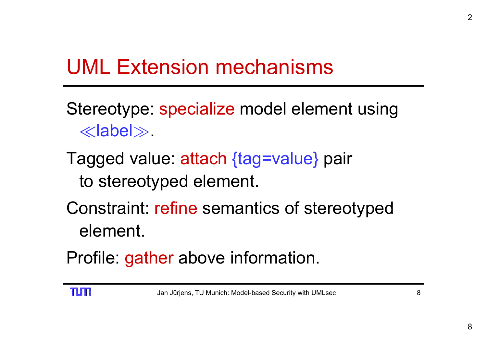### UML Extension mechanisms

- Stereotype: specialize model element using  $\ll$ label $\gg$ .
- Tagged value: attach {tag=value} pair to stereotyped element.
- Constraint: refine semantics of stereotyped element.
- Profile: gather above information.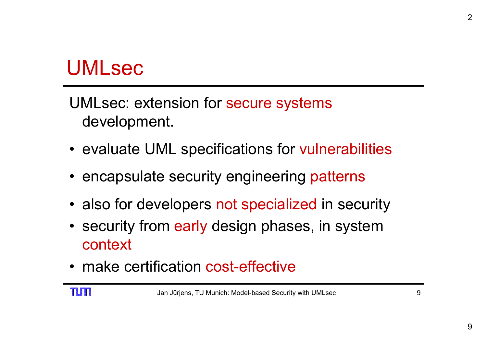#### UMLsec

UMLsec: extension for secure systems development.

- evaluate UML specifications for vulnerabilities
- encapsulate security engineering patterns
- also for developers not specialized in security
- security from early design phases, in system context
- make certification cost-effective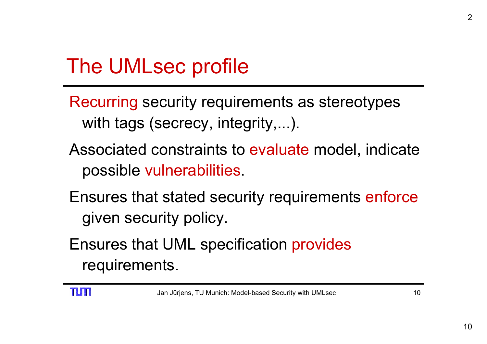## The UMLsec profile

- Recurring security requirements as stereotypes with tags (secrecy, integrity,...).
- Associated constraints to evaluate model, indicate possible vulnerabilities.
- Ensures that stated security requirements enforce given security policy.
- Ensures that UML specification provides requirements.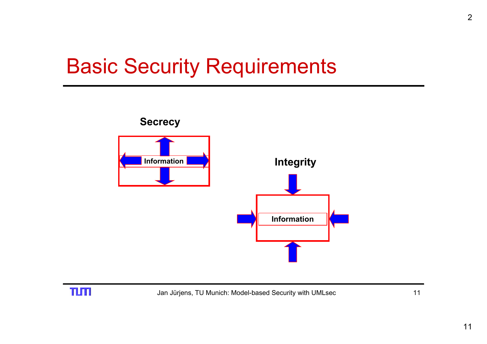## Basic Security Requirements



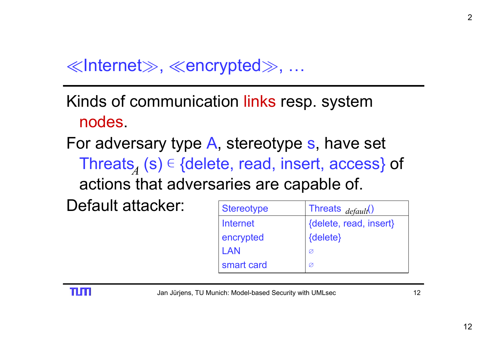$\ll$ Internet $\gg, \ll$ encrypted $\gg, \ ...$ 

Kinds of communication links resp. system nodes.

For adversary type A, stereotype s, have set Threats $_{\!\!A}$  (s)  $\in$  {delete, read, insert, access} of actions that adversaries are capable of.

Default attacker:

| <b>Stereotype</b> | Threats <sub>default</sub> () |
|-------------------|-------------------------------|
| Internet          | {delete, read, insert}        |
| encrypted         | {delete}                      |
| LAN               | Ø                             |
| smart card        | Ø                             |

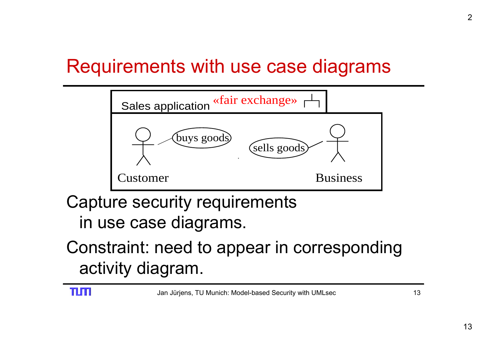#### Requirements with use case diagrams



Capture security requirements in use case diagrams.

#### Constraint: need to appear in corresponding activity diagram.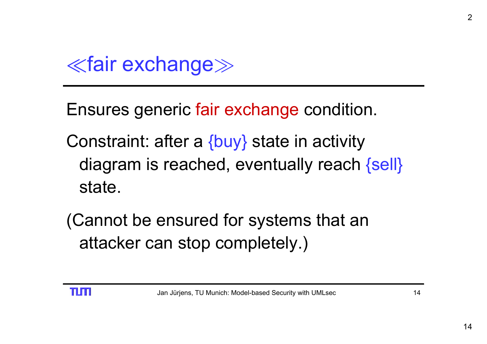¿fair exchange À

- Ensures generic fair exchange condition.
- Constraint: after a {buy} state in activity diagram is reached, eventually reach {sell} state.
- (Cannot be ensured for systems that an attacker can stop completely.)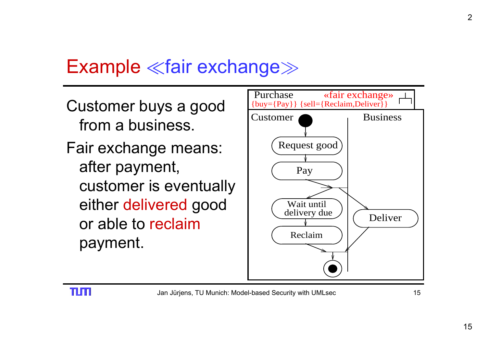#### Example ≪fair exchange≫

Customer buys a good from a business. Fair exchange means: after payment, customer is eventually either delivered good or able to reclaimpayment.



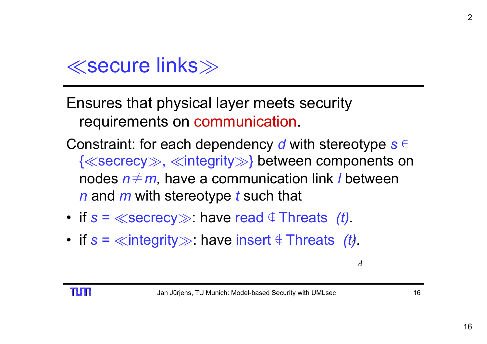

- Ensures that physical layer meets security requirements on communication.
- Constraint: for each dependency *d* with stereotype *s* ∊ { ¿secrecy À, ¿integrity À } between components on nodes *n* ≠ *m,* have a communication link *l* between *n* and *m* with stereotype *t* such that
- $\bullet\,$  if  $s=\ll$ secrecy $\gg$ : have read  $\in$  Threats *(t).*
- if  $s = \ll$ integrity $\gg$ : have insert  $\notin$  Threats *(t)*.

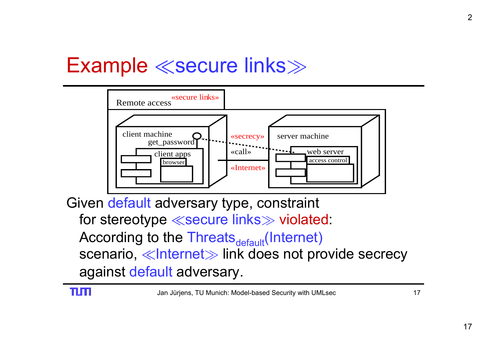### Example ≪secure links≫



Given default adversary type, constraint for stereotype  $\ll$ secure links $\gg$  violated: According to the Threats<sub>default</sub>(Internet) scenario, ≪Internet≫ link does not provide secrecy against default adversary.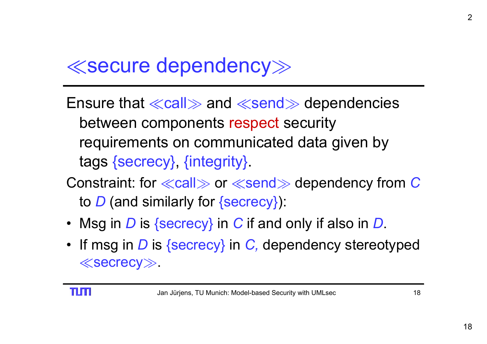#### ¿secure dependency À

- Ensure that  $\ll$ call $\gg$  and  $\ll$ send $\gg$  dependencies between components respect security requirements on communicated data given by tags {secrecy}, {integrity}.
- Constraint: for  $\ll$ call $\gg$  or  $\ll$ send $\gg$  dependency from  $C$ to *D* (and similarly for {secrecy}):
- Msg in *D* is {secrecy} in *C* if and only if also in *D*.
- If msg in *D* is {secrecy} in *C,* dependency stereotyped  $\ll$ secrecy $\gg$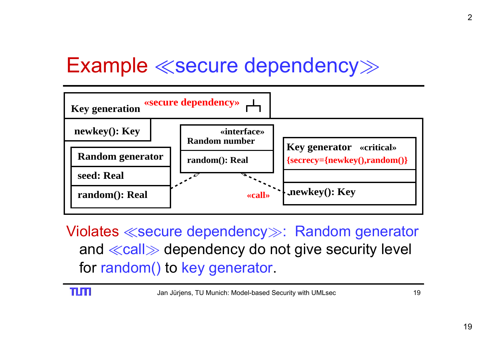### Example ¿secure dependency À



Violates ¿secure dependency <sup>À</sup>: Random generator and ≪call≫ dependency do not give security level for random() to key generator.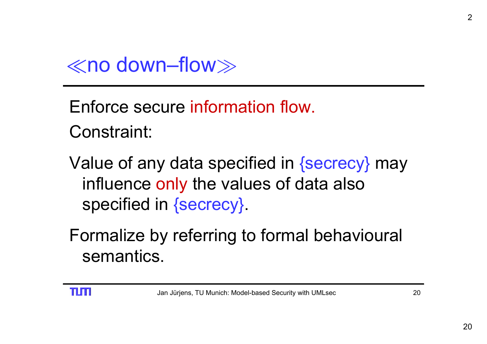

Enforce secure information flow. Constraint:

Value of any data specified in {secrecy} may influence only the values of data also specified in {secrecy}.

Formalize by referring to formal behavioural semantics.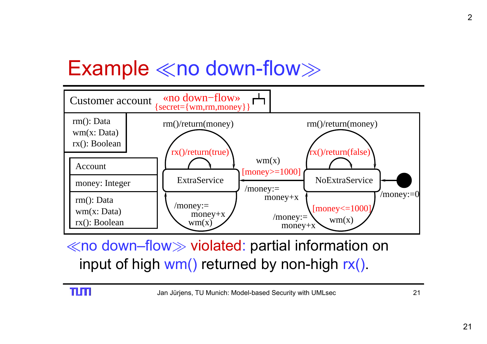### Example  $\ll$ no down-flow $\gg$



 $\ll$ no down–flow $\gg$  violated: partial information on input of high wm() returned by non-high rx().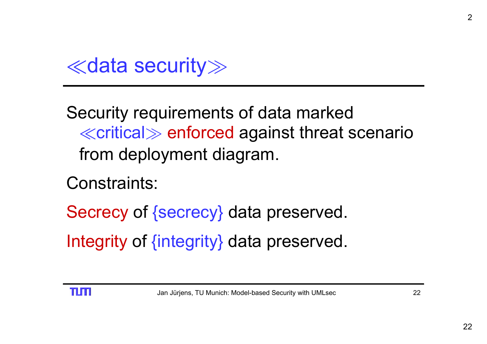¿data security À

Security requirements of data marked  $\ll$ critical $\gg$  enforced against threat scenario from deployment diagram.

Constraints:

Secrecy of {secrecy} data preserved. Integrity of {integrity} data preserved.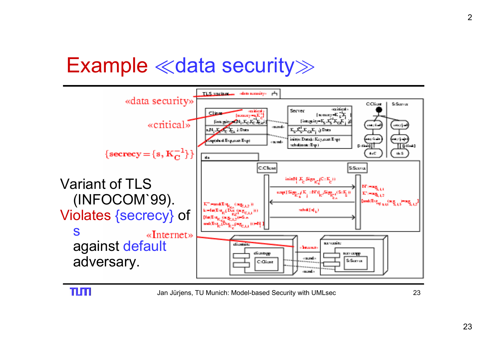### Example  $\ll$ data security $\gg$

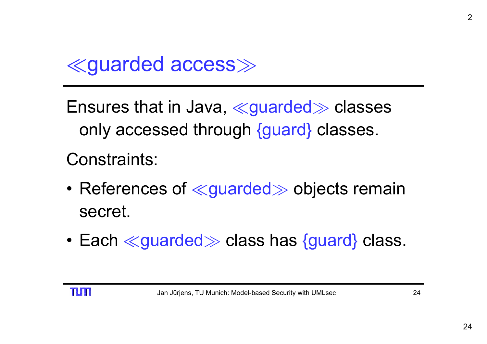

Ensures that in Java, ≪guarded≫ classes only accessed through {guard} classes. Constraints:

- $\bullet$  References of  $\ll$ guarded $\gg$  objects remain secret.
- $\bullet$  Each  $\ll$ guarded $\gg$  class has {guard} class.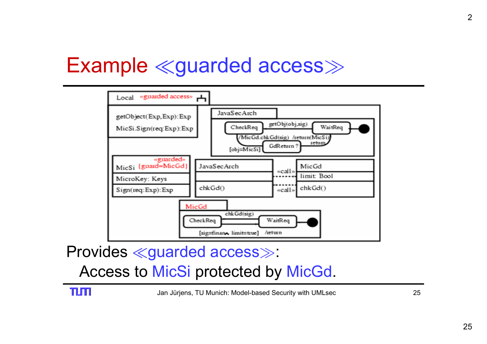### Example «guarded access»



Provides ¿guarded access À: Access to MicSi protected by MicGd.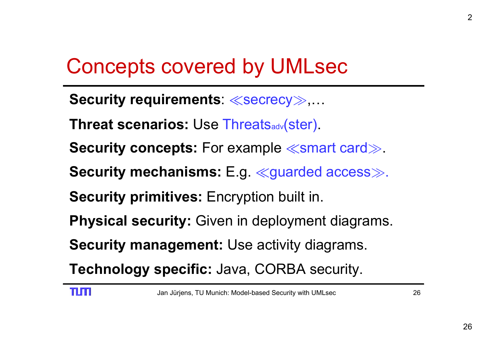## Concepts covered by UMLsec

- ${\sf Security\ requirements:} \ll \!\! \ll \!\! \sec$ recy $\!\! \gg \!\! , ...$
- **Threat scenarios:** Use Threatsadv(ster).
- **Security concepts:** For example  $\ll$ smart card $\gg$ .
- **Security mechanisms:** E.g. ¿guarded access À.
- **Security primitives:** Encryption built in.
- **Physical security:** Given in deployment diagrams.
- **Security management:** Use activity diagrams.
- **Technology specific:** Java, CORBA security.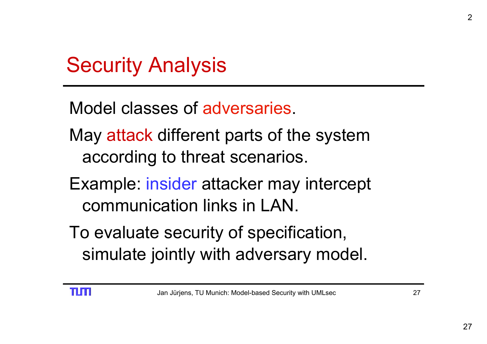Model classes of adversaries.

- May attack different parts of the system according to threat scenarios.
- Example: insider attacker may intercept communication links in LAN.
- To evaluate security of specification, simulate jointly with adversary model.

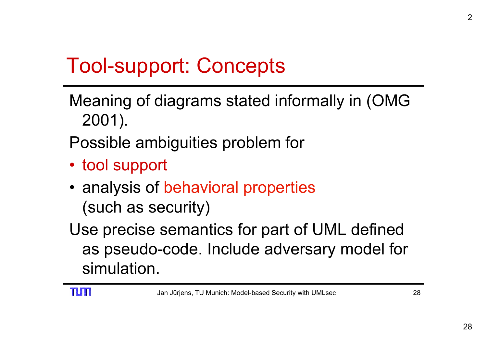## Tool-support: Concepts

Meaning of diagrams stated informally in (OMG 2001).

Possible ambiguities problem for

- tool support
- analysis of behavioral properties (such as security)

Use precise semantics for part of UML defined as pseudo-code. Include adversary model for simulation.

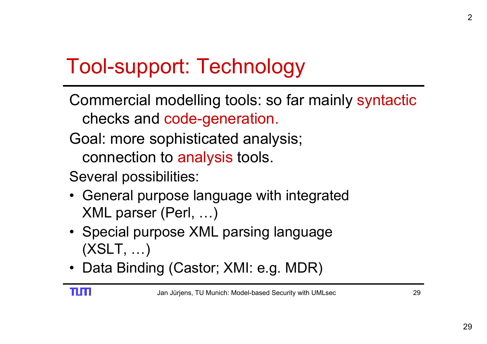## Tool-support: Technology

- Commercial modelling tools: so far mainly syntactic checks and code-generation.
- Goal: more sophisticated analysis; connection to analysis tools.
- Several possibilities:
- General purpose language with integrated XML parser (Perl, …)
- Special purpose XML parsing language (XSLT, …)
- Data Binding (Castor; XMI: e.g. MDR)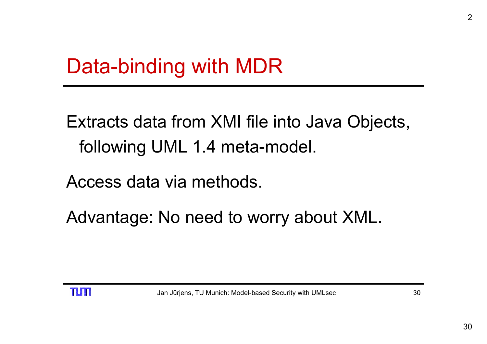Extracts data from XMI file into Java Objects, following UML 1.4 meta-model.

Access data via methods.

Advantage: No need to worry about XML.

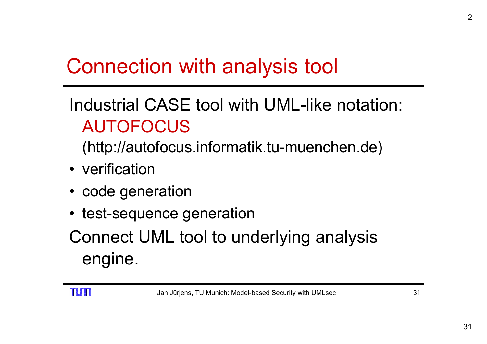## Connection with analysis tool

#### Industrial CASE tool with UML-like notation: AUTOFOCUS

(http://autofocus.informatik.tu-muenchen.de)

- verification
- code generation
- test-sequence generation

Connect UML tool to underlying analysis engine.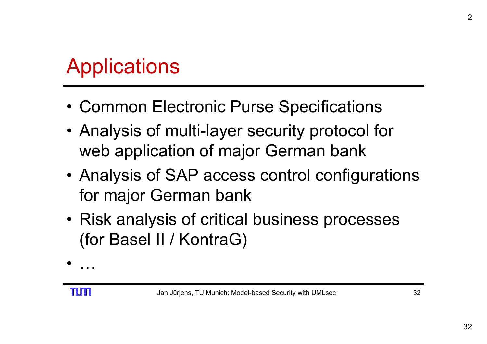## Applications

- Common Electronic Purse Specifications
- Analysis of multi-layer security protocol for web application of major German bank
- Analysis of SAP access control configurations for major German bank
- Risk analysis of critical business processes (for Basel II / KontraG)

…

•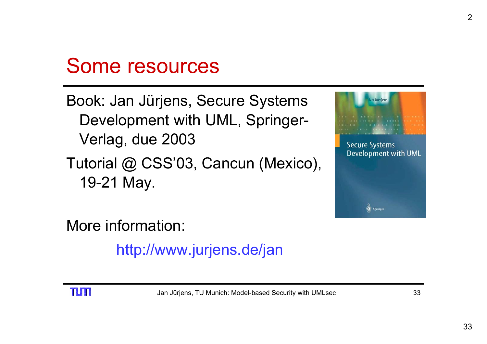### Some resources

#### Book: Jan Jürjens, Secure Systems Development with UML, Springer-Verlag, due 2003

Tutorial @ CSS'03, Cancun (Mexico), 19-21 May.



More information:

http://www.jurjens.de/jan